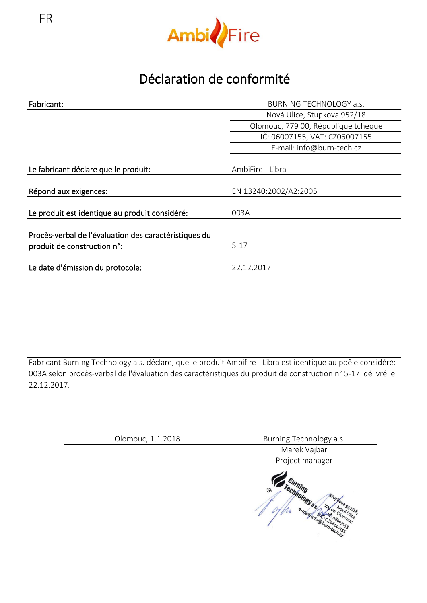



## Déclaration de conformité

| Fabricant:                                                                           | <b>BURNING TECHNOLOGY a.s.</b>      |
|--------------------------------------------------------------------------------------|-------------------------------------|
|                                                                                      | Nová Ulice, Stupkova 952/18         |
|                                                                                      | Olomouc, 779 00, République tchèque |
|                                                                                      | IČ: 06007155, VAT: CZ06007155       |
|                                                                                      | E-mail: info@burn-tech.cz           |
| Le fabricant déclare que le produit:                                                 | AmbiFire - Libra                    |
| Répond aux exigences:                                                                | EN 13240:2002/A2:2005               |
| Le produit est identique au produit considéré:                                       | 003A                                |
| Procès-verbal de l'évaluation des caractéristiques du<br>produit de construction n°: | $5-17$                              |
| Le date d'émission du protocole:                                                     | 22.12.2017                          |

Fabricant Burning Technology a.s. déclare, que le produit Ambifire - Libra est identique au poêle considéré: 003A selon procès-verbal de l'évaluation des caractéristiques du produit de construction n° 5-17 délivré le 22.12.2017.

| Olomouc, 1.1.2018 | Burning Technology a.s. |
|-------------------|-------------------------|
|                   | Marek Vajbar            |
|                   | Project manager         |
|                   | rechnolor<br>з.         |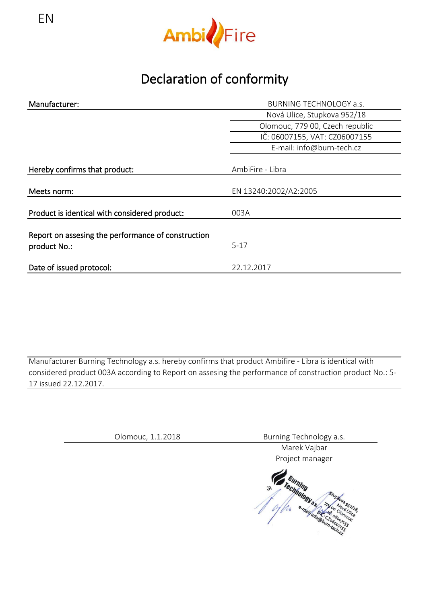

Declaration of conformity

| Manufacturer:                                      | <b>BURNING TECHNOLOGY a.s.</b>  |
|----------------------------------------------------|---------------------------------|
|                                                    | Nová Ulice, Stupkova 952/18     |
|                                                    | Olomouc, 779 00, Czech republic |
|                                                    | IČ: 06007155, VAT: CZ06007155   |
|                                                    | E-mail: info@burn-tech.cz       |
|                                                    |                                 |
| Hereby confirms that product:                      | AmbiFire - Libra                |
|                                                    |                                 |
| Meets norm:                                        | EN 13240:2002/A2:2005           |
| Product is identical with considered product:      | 003A                            |
|                                                    |                                 |
| Report on assesing the performance of construction |                                 |
| product No.:                                       | $5-17$                          |
|                                                    |                                 |
| Date of issued protocol:                           | 22.12.2017                      |

Manufacturer Burning Technology a.s. hereby confirms that product Ambifire - Libra is identical with considered product 003A according to Report on assesing the performance of construction product No.: 5- 17 issued 22.12.2017.

Olomouc, 1.1.2018 Burning Technology a.s.

Marek Vajbar

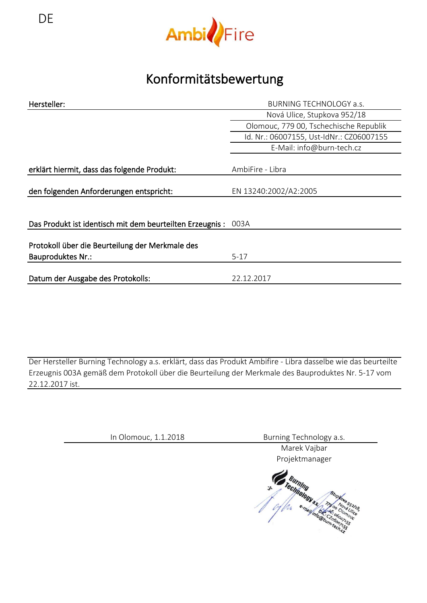

## Konformitätsbewertung

| Hersteller:                                                                 | <b>BURNING TECHNOLOGY a.s.</b>           |
|-----------------------------------------------------------------------------|------------------------------------------|
|                                                                             | Nová Ulice, Stupkova 952/18              |
|                                                                             | Olomouc, 779 00, Tschechische Republik   |
|                                                                             | Id. Nr.: 06007155, Ust-IdNr.: CZ06007155 |
|                                                                             | E-Mail: info@burn-tech.cz                |
| erklärt hiermit, dass das folgende Produkt:                                 | AmbiFire - Libra                         |
| den folgenden Anforderungen entspricht:                                     | EN 13240:2002/A2:2005                    |
|                                                                             |                                          |
| Das Produkt ist identisch mit dem beurteilten Erzeugnis:                    | 003A                                     |
| Protokoll über die Beurteilung der Merkmale des<br><b>Bauproduktes Nr.:</b> | $5-17$                                   |
|                                                                             |                                          |
| Datum der Ausgabe des Protokolls:                                           | 22.12.2017                               |
|                                                                             |                                          |

Der Hersteller Burning Technology a.s. erklärt, dass das Produkt Ambifire - Libra dasselbe wie das beurteilte Erzeugnis 003A gemäß dem Protokoll über die Beurteilung der Merkmale des Bauproduktes Nr. 5-17 vom 22.12.2017 ist.

In Olomouc, 1.1.2018 Burning Technology a.s.

Marek Vajbar Projektmanager